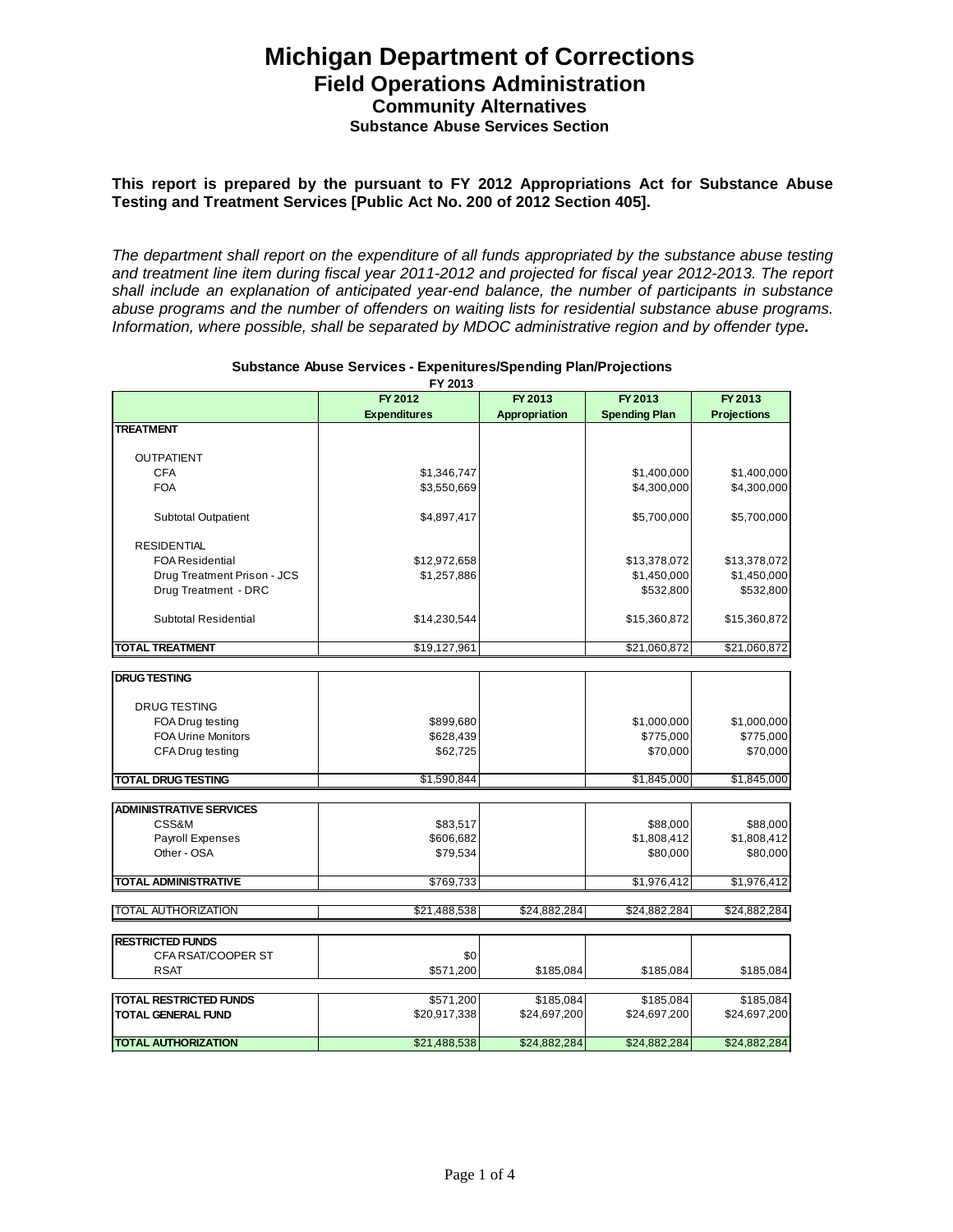# **Michigan Department of Corrections Field Operations Administration Community Alternatives Substance Abuse Services Section**

#### **This report is prepared by the pursuant to FY 2012 Appropriations Act for Substance Abuse Testing and Treatment Services [Public Act No. 200 of 2012 Section 405].**

The department shall report on the expenditure of all funds appropriated by the substance abuse testing and treatment line item during fiscal year 2011-2012 and projected for fiscal year 2012-2013. The report shall include an explanation of anticipated year-end balance, the number of participants in substance abuse programs and the number of offenders on waiting lists for residential substance abuse programs. Information, where possible, shall be separated by MDOC administrative region and by offender type**.** 

|                                | FY 2012             | FY 2013       | FY 2013              | FY 2013            |
|--------------------------------|---------------------|---------------|----------------------|--------------------|
|                                | <b>Expenditures</b> | Appropriation | <b>Spending Plan</b> | <b>Projections</b> |
| <b>TREATMENT</b>               |                     |               |                      |                    |
|                                |                     |               |                      |                    |
| <b>OUTPATIENT</b>              |                     |               |                      |                    |
| CFA                            | \$1,346,747         |               | \$1,400,000          | \$1,400,000        |
| <b>FOA</b>                     | \$3,550,669         |               | \$4,300,000          | \$4,300,000        |
| <b>Subtotal Outpatient</b>     | \$4,897,417         |               | \$5,700,000          | \$5,700,000        |
| <b>RESIDENTIAL</b>             |                     |               |                      |                    |
| <b>FOA Residential</b>         | \$12,972,658        |               | \$13,378,072         | \$13,378,072       |
| Drug Treatment Prison - JCS    | \$1,257,886         |               | \$1,450,000          | \$1,450,000        |
| Drug Treatment - DRC           |                     |               | \$532,800            | \$532,800          |
| Subtotal Residential           | \$14,230,544        |               | \$15,360,872         | \$15,360,872       |
|                                |                     |               |                      |                    |
| <b>TOTAL TREATMENT</b>         | \$19,127,961        |               | \$21,060,872         | \$21,060,872       |
| <b>DRUG TESTING</b>            |                     |               |                      |                    |
|                                |                     |               |                      |                    |
| <b>DRUG TESTING</b>            |                     |               |                      |                    |
| FOA Drug testing               | \$899,680           |               | \$1,000,000          | \$1,000,000        |
| FOA Urine Monitors             | \$628,439           |               | \$775,000            | \$775,000          |
| CFA Drug testing               | \$62,725            |               | \$70,000             | \$70,000           |
| <b>TOTAL DRUG TESTING</b>      | \$1,590,844         |               | \$1,845,000          | \$1,845,000        |
|                                |                     |               |                      |                    |
| <b>ADMINISTRATIVE SERVICES</b> |                     |               |                      |                    |
| CSS&M                          | \$83,517            |               | \$88,000             | \$88,000           |
| <b>Payroll Expenses</b>        | \$606,682           |               | \$1,808,412          | \$1,808,412        |
| Other - OSA                    | \$79,534            |               | \$80,000             | \$80,000           |
| <b>TOTAL ADMINISTRATIVE</b>    | \$769,733           |               | \$1,976,412          | \$1,976,412        |
|                                |                     |               |                      |                    |
| <b>TOTAL AUTHORIZATION</b>     | \$21,488,538        | \$24,882,284  | \$24,882,284         | \$24,882,284       |
|                                |                     |               |                      |                    |
| <b>RESTRICTED FUNDS</b>        |                     |               |                      |                    |
| CFA RSAT/COOPER ST             | \$0                 |               |                      |                    |
| <b>RSAT</b>                    | \$571,200           | \$185,084     | \$185,084            | \$185,084          |
| <b>TOTAL RESTRICTED FUNDS</b>  | \$571,200           | \$185,084     | \$185,084            | \$185,084          |
| <b>TOTAL GENERAL FUND</b>      | \$20,917,338        | \$24,697,200  | \$24,697,200         | \$24,697,200       |
| <b>TOTAL AUTHORIZATION</b>     | \$21,488,538        | \$24,882,284  | \$24,882,284         | \$24,882,284       |
|                                |                     |               |                      |                    |

#### **Substance Abuse Services - Expenitures/Spending Plan/Projections FY 2013**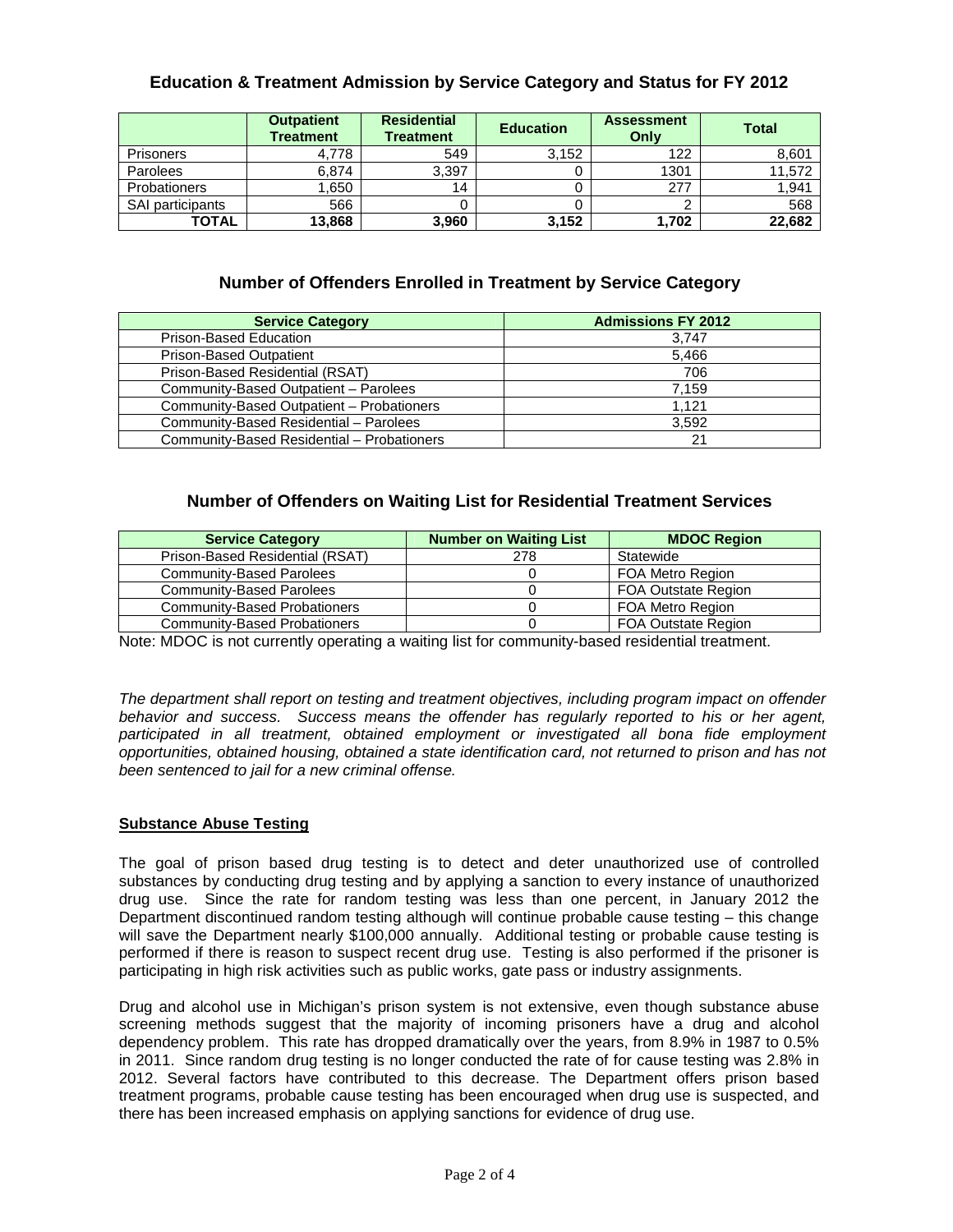## **Education & Treatment Admission by Service Category and Status for FY 2012**

|                         | <b>Outpatient</b><br><b>Treatment</b> | <b>Residential</b><br><b>Treatment</b> | <b>Education</b> | <b>Assessment</b><br>Only | <b>Total</b> |
|-------------------------|---------------------------------------|----------------------------------------|------------------|---------------------------|--------------|
| <b>Prisoners</b>        | 4.778                                 | 549                                    | 3,152            | 122                       | 8,601        |
| Parolees                | 6.874                                 | 3,397                                  |                  | 1301                      | 11,572       |
| <b>Probationers</b>     | .650                                  | 14                                     |                  | 277                       | 1,941        |
| <b>SAI participants</b> | 566                                   |                                        |                  |                           | 568          |
| <b>TOTAL</b>            | 13,868                                | 3,960                                  | 3,152            | 1,702                     | 22.682       |

## **Number of Offenders Enrolled in Treatment by Service Category**

| <b>Service Category</b>                    | <b>Admissions FY 2012</b> |  |  |
|--------------------------------------------|---------------------------|--|--|
| Prison-Based Education                     | 3.747                     |  |  |
| <b>Prison-Based Outpatient</b>             | 5.466                     |  |  |
| Prison-Based Residential (RSAT)            | 706                       |  |  |
| Community-Based Outpatient - Parolees      | 7.159                     |  |  |
| Community-Based Outpatient - Probationers  | 1.121                     |  |  |
| Community-Based Residential - Parolees     | 3.592                     |  |  |
| Community-Based Residential - Probationers | 21                        |  |  |

## **Number of Offenders on Waiting List for Residential Treatment Services**

| <b>Service Category</b>             | <b>Number on Waiting List</b> | <b>MDOC Region</b>         |  |
|-------------------------------------|-------------------------------|----------------------------|--|
| Prison-Based Residential (RSAT)     | 278                           | Statewide                  |  |
| <b>Community-Based Parolees</b>     |                               | <b>FOA Metro Region</b>    |  |
| Community-Based Parolees            |                               | <b>FOA Outstate Region</b> |  |
| Community-Based Probationers        |                               | FOA Metro Region           |  |
| <b>Community-Based Probationers</b> |                               | <b>FOA Outstate Region</b> |  |

Note: MDOC is not currently operating a waiting list for community-based residential treatment.

The department shall report on testing and treatment objectives, including program impact on offender behavior and success. Success means the offender has regularly reported to his or her agent, participated in all treatment, obtained employment or investigated all bona fide employment opportunities, obtained housing, obtained a state identification card, not returned to prison and has not been sentenced to jail for a new criminal offense.

#### **Substance Abuse Testing**

The goal of prison based drug testing is to detect and deter unauthorized use of controlled substances by conducting drug testing and by applying a sanction to every instance of unauthorized drug use. Since the rate for random testing was less than one percent, in January 2012 the Department discontinued random testing although will continue probable cause testing – this change will save the Department nearly \$100,000 annually. Additional testing or probable cause testing is performed if there is reason to suspect recent drug use. Testing is also performed if the prisoner is participating in high risk activities such as public works, gate pass or industry assignments.

Drug and alcohol use in Michigan's prison system is not extensive, even though substance abuse screening methods suggest that the majority of incoming prisoners have a drug and alcohol dependency problem. This rate has dropped dramatically over the years, from 8.9% in 1987 to 0.5% in 2011. Since random drug testing is no longer conducted the rate of for cause testing was 2.8% in 2012. Several factors have contributed to this decrease. The Department offers prison based treatment programs, probable cause testing has been encouraged when drug use is suspected, and there has been increased emphasis on applying sanctions for evidence of drug use.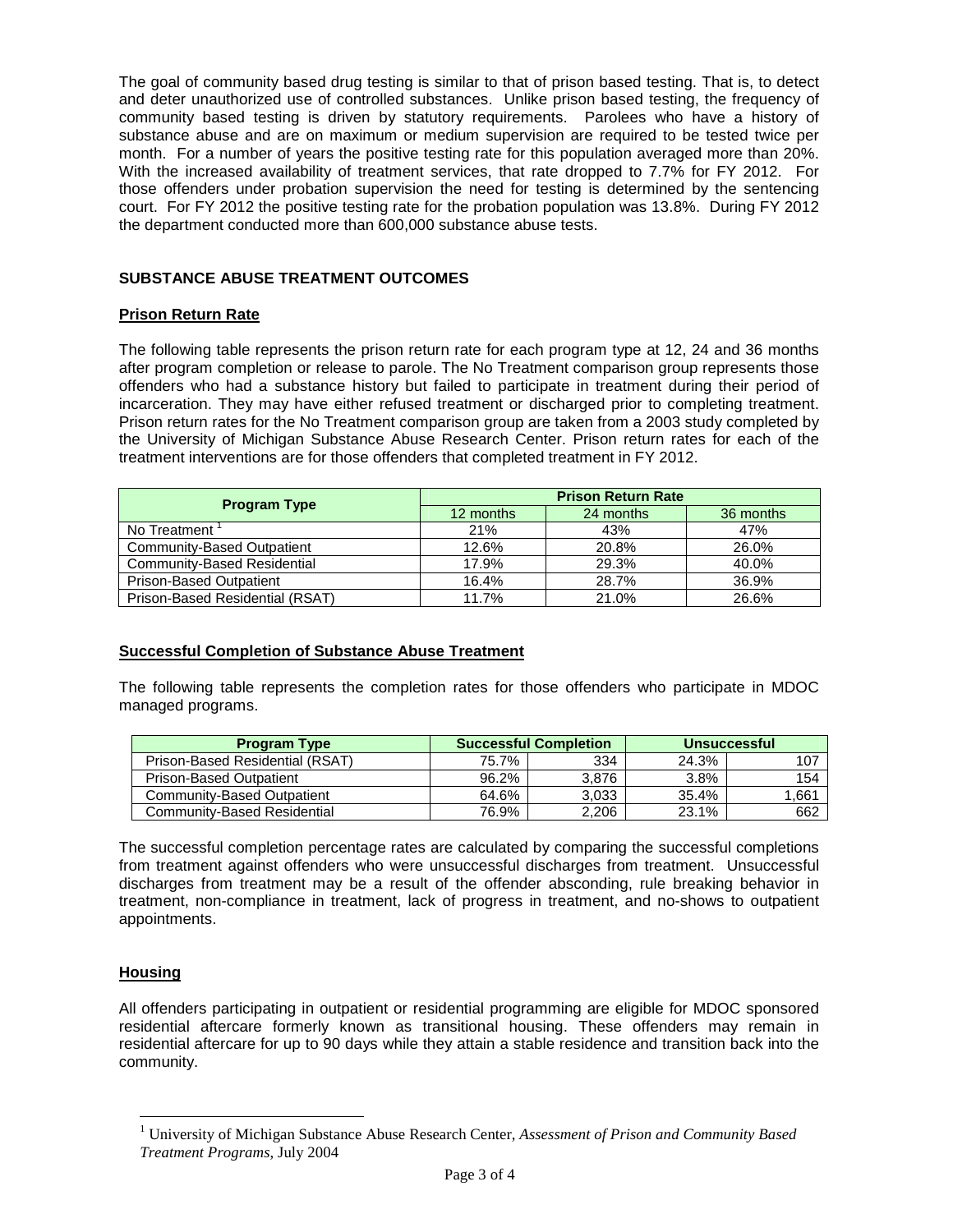The goal of community based drug testing is similar to that of prison based testing. That is, to detect and deter unauthorized use of controlled substances. Unlike prison based testing, the frequency of community based testing is driven by statutory requirements. Parolees who have a history of substance abuse and are on maximum or medium supervision are required to be tested twice per month. For a number of years the positive testing rate for this population averaged more than 20%. With the increased availability of treatment services, that rate dropped to 7.7% for FY 2012. For those offenders under probation supervision the need for testing is determined by the sentencing court. For FY 2012 the positive testing rate for the probation population was 13.8%. During FY 2012 the department conducted more than 600,000 substance abuse tests.

## **SUBSTANCE ABUSE TREATMENT OUTCOMES**

### **Prison Return Rate**

The following table represents the prison return rate for each program type at 12, 24 and 36 months after program completion or release to parole. The No Treatment comparison group represents those offenders who had a substance history but failed to participate in treatment during their period of incarceration. They may have either refused treatment or discharged prior to completing treatment. Prison return rates for the No Treatment comparison group are taken from a 2003 study completed by the University of Michigan Substance Abuse Research Center. Prison return rates for each of the treatment interventions are for those offenders that completed treatment in FY 2012.

| <b>Program Type</b>             | <b>Prison Return Rate</b> |           |           |  |
|---------------------------------|---------------------------|-----------|-----------|--|
|                                 | 12 months                 | 24 months | 36 months |  |
| No Treatment                    | 21%                       | 43%       | 47%       |  |
| Community-Based Outpatient      | 12.6%                     | 20.8%     | 26.0%     |  |
| Community-Based Residential     | 17.9%                     | 29.3%     | 40.0%     |  |
| <b>Prison-Based Outpatient</b>  | 16.4%                     | 28.7%     | 36.9%     |  |
| Prison-Based Residential (RSAT) | 11.7%                     | 21.0%     | 26.6%     |  |

## **Successful Completion of Substance Abuse Treatment**

The following table represents the completion rates for those offenders who participate in MDOC managed programs.

| <b>Program Type</b>             | <b>Successful Completion</b> |       | <b>Unsuccessful</b> |       |
|---------------------------------|------------------------------|-------|---------------------|-------|
| Prison-Based Residential (RSAT) | 75.7%                        | 334   | 24.3%               | 107   |
| <b>Prison-Based Outpatient</b>  | 96.2%                        | 3.876 | $3.8\%$             | 154   |
| Community-Based Outpatient      | 64.6%                        | 3.033 | 35.4%               | 1.661 |
| Community-Based Residential     | 76.9%                        | 2.206 | 23.1%               | 662   |

The successful completion percentage rates are calculated by comparing the successful completions from treatment against offenders who were unsuccessful discharges from treatment. Unsuccessful discharges from treatment may be a result of the offender absconding, rule breaking behavior in treatment, non-compliance in treatment, lack of progress in treatment, and no-shows to outpatient appointments.

#### **Housing**

<u>.</u>

All offenders participating in outpatient or residential programming are eligible for MDOC sponsored residential aftercare formerly known as transitional housing. These offenders may remain in residential aftercare for up to 90 days while they attain a stable residence and transition back into the community.

<sup>1</sup> University of Michigan Substance Abuse Research Center, *Assessment of Prison and Community Based Treatment Programs*, July 2004